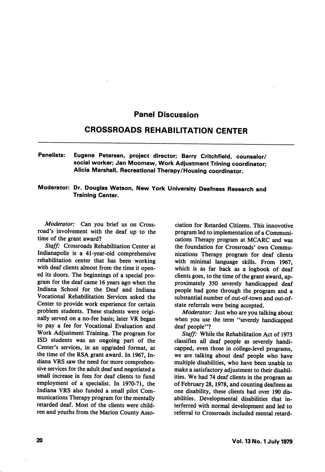## Panel Discussion

## CROSSROADS REHABILITATION CENTER

## Panelists: Eugene Petersen, project director; Barry Critchfieid, counselor/ social worker; Jan Moomaw, Work Adjustment Trining coordinator; Alicia Marshall, Recreational Therapy/Housing coordinator.

## Moderator: Dr. Douglas Watson, New York University Deafness Research and Training Center.

Moderator: Can you brief us on Crossroad's involvement with the deaf up to the time of the grant award?

Staff: Crossroads Rehabilitation Center at Indianapolis is a 41-year-old comprehensive rehabilitation center that has been working with deaf clients almost from the time it opened its doors. The beginnings of a special pro gram for the deaf came 16 years ago when the Indiana School for the Deaf and Indiana Vocational Rehabilitation Services asked the Center to provide work experience for certain problem students. These students were origi nally served on a no-fee basis; later VR began to pay a fee for Vocational Evaluation and Work Adjustment Training. The program for ISD students was an ongoing part of the Center's services, in an upgraded format, at the time of the RSA grant award. In 1967, In diana VRS saw the need for more comprehen sive services for the adult deaf and negotiated a small increase in fees for deaf clients to fund employment of a specialist. In 1970-71, the Indiana VRS also funded a small pilot Com munications Therapy program for the mentally retarded deaf. Most of the clients were child ren and youths from the Marion County Asso

ciation for Retarded Citizens. This innovotive program led to implementation of a Communi cations Therapy program at MCARC and was the foundation for Crossroads' own Commu nications Therapy program for deaf clients with minimal language skills. From 1967, which is as far back as a logbook of deaf clients goes, to the time of the grant award, ap proximately 350 severely handicapped deaf people had gone through the program and a substantial number of out-of-town and out-ofstate referrals were being accepted.

Moderator: Just who are you talking about when you use the term "severely handicapped deaf people"?

Staff: While the Rehabilitation Act of 1973 classifies all deaf people as severely handi capped, even those in college-level programs, we are talking about deaf people who have multiple disabilities, who have been unable to make a satisfactory adjustment to their disabil ities. We had 74 deaf clients in the program as of February 28,1978, and counting deafness as one disability, these clients had over 190 dis abilities. Developmental disabilities that interferred with normal development and led to referral to Crossroads included mental retard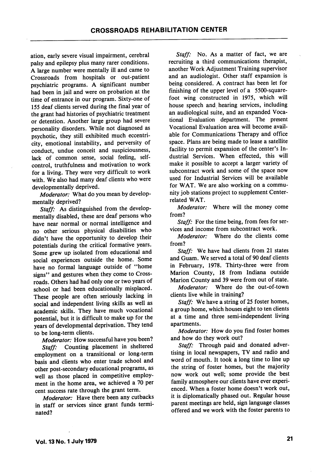ation, early severe visual impairment, cerebral palsy and epilepsy plus many rarer conditions. A large number were mentally ill and came to Crossroads from hospitals or out-patient psychiatric programs. A significant number had been in jail and were on probation at the time of entrance in our program. Sixty-one of 155 deaf clients served during the final year of the grant had histories of psychiatric treatment or detention. Another large group had severe personality disorders. While not diagnosed as psychotic, they still exhibited much eccentri city, emotional instability, and perversity of conduct, undue conceit and suspiciousness, lack of common sense, social feeling, selfcontrol, truthfulness and motivation to work for a living. They were very difficult to work with. We also had many deaf clients who were developmentally deprived.

Moderator: What do you mean by developmentally deprived?

Staff: As distinguished from the developmentally disabled, these are deaf persons who have near normal or normal intelligence and no other serious physical disabilities who didn't have the opportunity to develop their potentials during the critical formative years. Some grew up isolated from educational and social experiences outside the home. Some have no formal language outside of "home signs" and gestures when they come to Crossroads. Others had had only one or two years of school or had been educationally misplaced. These people are often seriously lacking in social and independent living skills as well as academic skills. They have much vocational potential, but it is difficult to make up for the years of developmental deprivation. They tend to be long-term clients.

Moderator: How successful have you been? Staff: Counting placement in sheltered employment on a transitional or long-term basis and clients who enter trade school and other post-secondary educational programs, as well as those placed in competitive employ ment in the home area, we achieved a 70 per cent success rate through the grant term.

Moderator: Have there been any cutbacks in staff or services since grant funds termi nated?

Staff: No. As a matter of fact, we are recruiting a third communications therapist, another Work Adjustment Training supervisor and an audiologist. Other staff expansion is being considered. A contract has been let for finishing of the upper level of a 5500-squarefoot wing constructed in 1975, which will house speech and hearing services, including an audiological suite, and an expanded Voca tional Evaluation department. The present Vocational Evaluation area will become avail able for Communications Therapy and office space. Plans are being made to lease a satellite facility to permit expansion of the center's In dustrial Services. When effected, this will make it possible to accept a larger variety of subcontract work and some of the space now used for Industrial Services will be available for WAT. We are also working on a commu nity job stations project to supplement Centerrelated WAT.

Moderator: Where will the money come from?

Staff: For the time being, from fees for services and income from subcontract work.

Moderator: Where do the clients come from?

Staff: We have had clients from 21 states and Guam. We served a total of 90 deaf clients in February, 1978. Thirty-three were from Marion County, 18 from Indiana outside Marion County and 39 were from out of state.

Moderator: Where do the out-of-town clients live while in training?

Staff: We have a string of 25 foster homes, a group home, which houses eight to ten clients at a time and three semi-independent living apartments.

Moderator: How do you find foster homes and how do they work out?

Staff: Through paid and donated advertising in local newspapers, TV and radio and word of mouth. It took a long time to line up the string of foster homes, but the majority now work out well; some provide the best family atmosphere our clients have ever experi enced. When a foster home doesn't work out, it is diplomatically phased out. Regular house parent meetings are held, sign language classes offered and we work with the foster parents to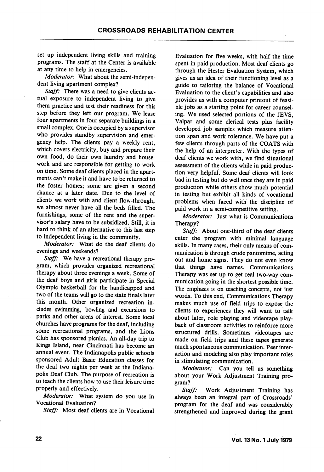set up independent living skills and training programs. The staff at the Center is available at any time to help in emergencies.

Moderator: What about the semi-independent living apartment complex?

Staff: There was a need to give clients actual exposure to independent living to give them practice and test their readiness for this step before they left our program. We lease four apartments in four separate buildings in a small complex. One is occupied by a supervisor who provides standby supervision and emer gency help. The clients pay a weekly rent, which covers electricity, buy and prepare their own food, do their own laundry and house work and are responsible for getting to work on time. Some deaf clients placed in the apart ments can't make it and have to be returned to the foster homes; some are given a second chance at a later date. Due to the level of clients we work with and client flow-through, we almost never have all the beds filled. The furnishings, some of the rent and the super visor's salary have to be subsidized. Still, it is hard to think of an alternative to this last step to independent living in the community.

Moderator: What do the deaf clients do evenings and weekends?

Staff: We have a recreational therapy program, which provides organized recreational therapy about three evenings a week. Some of the deaf boys and girls participate in Special Olympic basketball for the handicapped and two of the teams will go to the state finals later this month. Other organized recreation in cludes swimming, bowling and excursions to parks and other areas of interest. Some local churches have programs for the deaf, including some recreational programs, and the Lions Club has sponsored picnics. An all-day trip to Kings Island, near Cincinnati has become an annual event. The Indianapolis public schools sponsored Adult Basic Education classes for the deaf two nights per week at the Indiana polis Deaf Club. The purpose of recreation is to teach the clients how to use their leisure time properly and effectively.

Moderator: What system do you use in Vocational Evaluation?

Staff: Most deaf clients are in Vocational

Evaluation for five weeks, with half the time spent in paid production. Most deaf clients go through the Hester Evaluation System, which gives us an idea of their functioning level as a guide to tailoring the balance of Vocational Evaluation to the client's capabilities and also provides us with a computer printout of feasi ble jobs as a starting point for career counsel ing. We used selected portions of the JEVS, Valpar and some clerical tests plus facility developed job samples which measure atten tion span and work tolerance. We have put a few clients through parts of the COATS with the help of an interpreter. With the types of deaf clients we work with, we find situational assessment of the clients while in paid produc tion very helpful. Some deaf clients will look bad in testing but do well once they are in paid production while others show much potential in testing but exhibit all kinds of vocational problems when faced with the discipline of paid work in a semi-competitive setting.

Moderator: Just what is Communications Therapy?

Staff: About one-third of the deaf clients enter the program with minimal language skills. In many cases, their only means of com munication is through crude pantomime, acting out and home signs. They do not even know that things have names. Communications Therapy was set up to get real two-way com munication going in the shortest possible time. The emphasis is on teaching concepts, not just words. To this end. Communications Therapy makes much use of field trips to expose the clients to experiences they will want to talk about later, role playing and videotape play back of classroom activities to reinforce more structured drills. Sometimes videotapes are made on field trips and these tapes generate much spontaneous communication. Peer inter action and modeling also play important roles in stimulating communication.

Moderator: Can you tell us something about your Work Adjustment Training pro gram?

Staff: Work Adjustment Training has always been an integral part of Crossroads' program for the deaf and was considerably strengthened and improved during the grant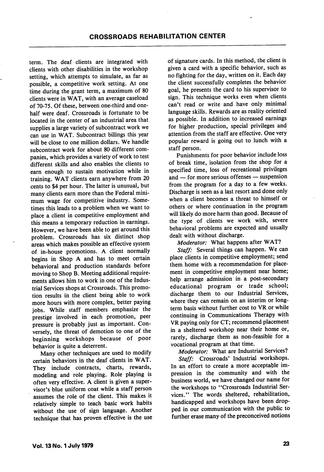term. The deaf clients are integrated with clients with other disabilities in the workshop setting, which attempts to simulate, as far as possible, a competitive work setting. At one time during the grant term, a maximum of 80 clients were in WAT, with an average caseload of 70-75. Of these, between one-third and onehalf were deaf. Crossroads is fortunate to be located in the center of an industrial area that supplies a large variety of subcontract work we can use in WAT. Subcontract billings this year will be close to one million dollars. We handle subcontract work for about 80 different com panies, which provides a variety of work to test different skills and also enables the clients to earn enough to sustain motivation while in training. WAT clients earn anywhere from 20 cents to \$4 per hour. The latter is unusual, but many clients earn more than the Federal mini mum wage for competitive industry. Some times this leads to a problem when we want to place a client in competitive employment and this means a temporary reduction in earnings. However, we have been able to get around this problem. Crossroads has six distinct shop areas which makes possible an effective system of in-house promotions. A client normally begins in Shop A and has to meet certain behavioral and production standards before moving to Shop B. Meeting additional require ments allows him to work in one of the Indus trial Services shops at Crossroads. This promo tion results in the client being able to work more hours with more complex, better paying jobs. While staff members emphasize the prestige involved in each promotion, peer pressure is probably just as important. Con versely, the threat of demotion to one of the beginning workshops because of poor behavior is quite a deterrent.

Many other techniques are used to modify certain behaviors in the deaf clients in WAT. They include contracts, charts, rewards, modeling and role playing. Role playing is often very effective. A client is given a super visor's blue uniform coat while a staff person assumes the role of the client. This makes it relatively simple to teach basic work habits without the use of sign language. Another technique that has proven effective is the use of signature cards. In this method, the client is given a card with a specific behavior, such as no fighting for the day, written on it. Each day the client successfully completes the behavior goal, he presents the card to his supervisor to sign. This technique works even when clients can't read or write and have only minimal language skills. Rewards are as reality oriented as possible. In addition to increased earnings for higher production, special privileges and attention from the staff are effective. One very popular reward is going out to lunch with a staff person.

Punishments for poor behavior include loss of break time, isolation from the shop for a specified time, loss of recreational privileges and — for more serious offenses — suspension from the program for a day to a few weeks. Discharge is seen as a last resort and done only when a client becomes a threat to himself or others or where continuation in the program will likely do more harm than good. Because of the type of clients we work with, severe behavioral problems are expected and usually dealt with without discharge.

Moderator: What happens after WAT?

Staff: Several things can happen. We can place clients in competitive employment; send them home with a recommendation for place ment in competitive employment near home; help arrange admission in a post-secondary educational program or trade school; discharge them to our Industrial Services, where they can remain on an interim or longterm basis without further cost to VR or while continuing in Communications Therapy with VR paying only for CT; recommend placement in a sheltered workshop near their home or, rarely, discharge them as non-feasible for a vocational program at that time.

Moderator: What are Industrial Services? Staff: Crossroads' Industrial workshops. In an effort to create a more acceptable im pression in the community and with the business world, we have changed our name for the workshops to "Crossroads Industrial Services." The words sheltered, rehabilitation, handicapped and workshops have been drop ped in our communication with the public to further erase many of the preconceived notions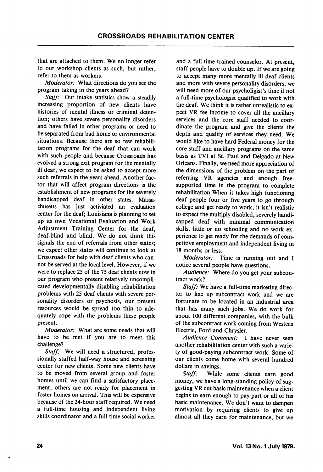that are attached to them. We no longer refer to our workshop clients as such, but rather, refer to them as workers.

Moderator: What directions do you see the program taking in the years ahead?

Staff: Our intake statistics show a steadily increasing proportion of new clients have histories of mental illness or criminal deten tion; others have severe personality disorders and have failed in other programs or need to be separated from bad home or environmental situations. Because there are so few rehabili tation programs for the deaf that can work with such people and because Crossroads has evolved a strong exit program for the mentally ill deaf, we expect to be asked to accept more such referrals in the years ahead. Another fac tor that will affect program directions is the establishment of new programs for the severely handicapped deaf in other states. Massa chusetts has just activiated an evaluation center for the deaf; Louisiana is planning to set up its own Vocational Evaluation and Work Adjustment Training Center for the deaf, deaf-blind and blind. We do not think this signals the end of referrals from other states; we expect other states will continue to look at Crossroads for help with deaf clients who can not be served at the local level. However, if we were to replace 25 of the 75 deaf clients now in our program who present relatively uncompli cated developmentally disabling rehabilitation problems with 25 deaf clients with severe per sonality disorders or psychosis, our present resources would be spread too thin to ade quately cope with the problems these people present.

Moderator: What are some needs that will have to be met if you are to meet this challenge?

Staff: We will need a structured, professionally staffed half-way house and screening center for new clients. Some new clients have to be moved from several group and foster homes until we can find a satisfactory place ment; others are not ready for placement in foster homes on arrival. This will be expensive because of the 24-hour staff required. We need a full-time housing and independent living skills coordinator and a full-time social worker

and a full-time trained counselor. At present, staff people have to double up. If we are going to accept many more mentally ill deaf clients and more with severe personality disorders, we will need more of our psycholigist's time if not a full-time psychologist qualified to work with the deaf. We think it is rather unrealistic to ex pect VR fee income to cover all the ancillary services and the core staff needed to coor dinate the program and give the clients the depth and quality of services they need. We would like to have hard Federal money for the core staff and ancillary programs on the same basis as TVI at St. Paul and Delgado at New Orleans. Finally, we need more appreciation of the dimensions of the problem on the part of referring VR agencies and enough freesupported time in the program to complete rehabilitation.When it takes high functioning deaf people four or five years to go through college and get ready to work, it isn't realistic to expect the multiply disabled, severely handi capped deaf with minimal communication skills, little or no schooling and no work ex perience to get ready for the demands of com petitive employment and independent living in 18 months or less.

Moderator: Time is running out and I notice several people have questions.

Audience: Where do you get your subcon tract work?

Staff: We have a full-time marketing director to line up subcontract work and we are fortunate to be located in an industrial area that has many such jobs. We do work for about 100 different companies, with the bulk of the subcontract work coming from Western Electric, Ford and Chrysler.

Audience Comment: I have never seen another rehabilitation center with such a varie ty of good-paying subcontract work. Some of our clients come home with several hundred dollars in savings.

Staff: While some clients earn good money, we have a long-standing policy of sug gesting VR cut basic maintenance when a client begins to earn enough to pay part or all of his basic maintenance. We don't want to dampen motivation by requiring clients to give up almost all they earn for maintenance, but we